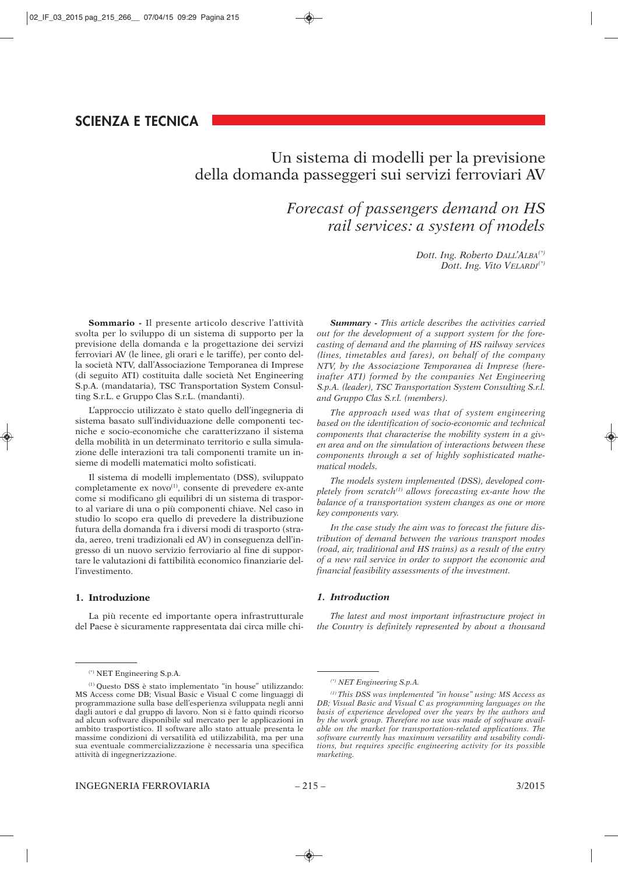# Un sistema di modelli per la previsione della domanda passeggeri sui servizi ferroviari AV

## *Forecast of passengers demand on HS rail services: a system of models*

*Dott. Ing. Roberto DALL'ALBA(\*) Dott. Ing. Vito VELARDI(\*)*

**Sommario -** Il presente articolo descrive l'attività svolta per lo sviluppo di un sistema di supporto per la previsione della domanda e la progettazione dei servizi ferroviari AV (le linee, gli orari e le tariffe), per conto della società NTV, dall'Associazione Temporanea di Imprese (di seguito ATI) costituita dalle società Net Engineering S.p.A. (mandataria), TSC Transportation System Consulting S.r.L. e Gruppo Clas S.r.L. (mandanti).

L'approccio utilizzato è stato quello dell'ingegneria di sistema basato sull'individuazione delle componenti tecniche e socio-economiche che caratterizzano il sistema della mobilità in un determinato territorio e sulla simulazione delle interazioni tra tali componenti tramite un insieme di modelli matematici molto sofisticati.

Il sistema di modelli implementato (DSS), sviluppato completamente ex novo<sup>(1)</sup>, consente di prevedere ex-ante come si modificano gli equilibri di un sistema di trasporto al variare di una o più componenti chiave. Nel caso in studio lo scopo era quello di prevedere la distribuzione futura della domanda fra i diversi modi di trasporto (strada, aereo, treni tradizionali ed AV) in conseguenza dell'ingresso di un nuovo servizio ferroviario al fine di supportare le valutazioni di fattibilità economico finanziarie dell'investimento.

#### **1. Introduzione**

La più recente ed importante opera infrastrutturale del Paese è sicuramente rappresentata dai circa mille chi-

(\*) NET Engineering S.p.A.

*Summary - This article describes the activities carried out for the development of a support system for the forecasting of demand and the planning of HS railway services (lines, timetables and fares), on behalf of the company NTV, by the Associazione Temporanea di Imprese (hereinafter ATI) formed by the companies Net Engineering S.p.A. (leader), TSC Transportation System Consulting S.r.l. and Gruppo Clas S.r.l. (members).*

*The approach used was that of system engineering based on the identification of socio-economic and technical components that characterise the mobility system in a given area and on the simulation of interactions between these components through a set of highly sophisticated mathematical models.*

*The models system implemented (DSS), developed completely from scratch(1) allows forecasting ex-ante how the balance of a transportation system changes as one or more key components vary.* 

*In the case study the aim was to forecast the future distribution of demand between the various transport modes (road, air, traditional and HS trains) as a result of the entry of a new rail service in order to support the economic and financial feasibility assessments of the investment.*

#### *1. Introduction*

*The latest and most important infrastructure project in the Country is definitely represented by about a thousand*

<sup>(1)</sup> Questo DSS è stato implementato "in house" utilizzando: MS Access come DB; Visual Basic e Visual C come linguaggi di programmazione sulla base dell'esperienza sviluppata negli anni dagli autori e dal gruppo di lavoro. Non si è fatto quindi ricorso ad alcun software disponibile sul mercato per le applicazioni in ambito trasportistico. Il software allo stato attuale presenta le massime condizioni di versatilità ed utilizzabilità, ma per una sua eventuale commercializzazione è necessaria una specifica attività di ingegnerizzazione.

*<sup>(\*)</sup> NET Engineering S.p.A.*

*<sup>(1)</sup> This DSS was implemented "in house" using: MS Access as DB; Visual Basic and Visual C as programming languages on the basis of experience developed over the years by the authors and by the work group. Therefore no use was made of software available on the market for transportation-related applications. The software currently has maximum versatility and usability conditions, but requires specific engineering activity for its possible marketing.*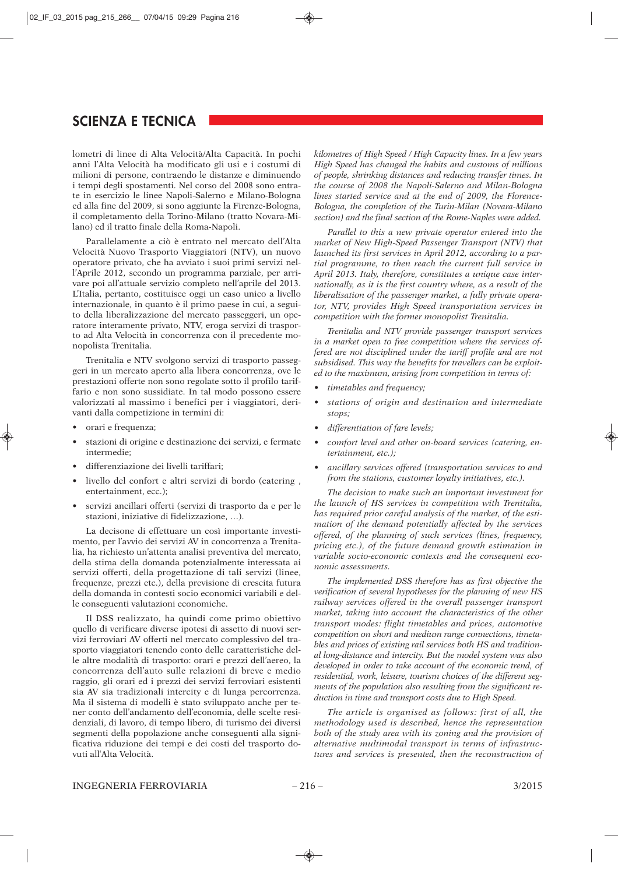lometri di linee di Alta Velocità/Alta Capacità. In pochi anni l'Alta Velocità ha modificato gli usi e i costumi di milioni di persone, contraendo le distanze e diminuendo i tempi degli spostamenti. Nel corso del 2008 sono entrate in esercizio le linee Napoli-Salerno e Milano-Bologna ed alla fine del 2009, si sono aggiunte la Firenze-Bologna, il completamento della Torino-Milano (tratto Novara-Milano) ed il tratto finale della Roma-Napoli.

Parallelamente a ciò è entrato nel mercato dell'Alta Velocità Nuovo Trasporto Viaggiatori (NTV), un nuovo operatore privato, che ha avviato i suoi primi servizi nell'Aprile 2012, secondo un programma parziale, per arrivare poi all'attuale servizio completo nell'aprile del 2013. L'Italia, pertanto, costituisce oggi un caso unico a livello internazionale, in quanto è il primo paese in cui, a seguito della liberalizzazione del mercato passeggeri, un operatore interamente privato, NTV, eroga servizi di trasporto ad Alta Velocità in concorrenza con il precedente monopolista Trenitalia.

Trenitalia e NTV svolgono servizi di trasporto passeggeri in un mercato aperto alla libera concorrenza, ove le prestazioni offerte non sono regolate sotto il profilo tariffario e non sono sussidiate. In tal modo possono essere valorizzati al massimo i benefici per i viaggiatori, derivanti dalla competizione in termini di:

- orari e frequenza;
- stazioni di origine e destinazione dei servizi, e fermate intermedie;
- differenziazione dei livelli tariffari;
- livello del confort e altri servizi di bordo (catering , entertainment, ecc.);
- servizi ancillari offerti (servizi di trasporto da e per le stazioni, iniziative di fidelizzazione, …).

La decisone di effettuare un così importante investimento, per l'avvio dei servizi AV in concorrenza a Trenitalia, ha richiesto un'attenta analisi preventiva del mercato, della stima della domanda potenzialmente interessata ai servizi offerti, della progettazione di tali servizi (linee, frequenze, prezzi etc.), della previsione di crescita futura della domanda in contesti socio economici variabili e delle conseguenti valutazioni economiche.

Il DSS realizzato, ha quindi come primo obiettivo quello di verificare diverse ipotesi di assetto di nuovi servizi ferroviari AV offerti nel mercato complessivo del trasporto viaggiatori tenendo conto delle caratteristiche delle altre modalità di trasporto: orari e prezzi dell'aereo, la concorrenza dell'auto sulle relazioni di breve e medio raggio, gli orari ed i prezzi dei servizi ferroviari esistenti sia AV sia tradizionali intercity e di lunga percorrenza. Ma il sistema di modelli è stato sviluppato anche per tener conto dell'andamento dell'economia, delle scelte residenziali, di lavoro, di tempo libero, di turismo dei diversi segmenti della popolazione anche conseguenti alla significativa riduzione dei tempi e dei costi del trasporto dovuti all'Alta Velocità.

*kilometres of High Speed / High Capacity lines. In a few years High Speed has changed the habits and customs of millions of people, shrinking distances and reducing transfer times. In the course of 2008 the Napoli-Salerno and Milan-Bologna lines started service and at the end of 2009, the Florence-Bologna, the completion of the Turin-Milan (Novara-Milano section) and the final section of the Rome-Naples were added.*

*Parallel to this a new private operator entered into the market of New High-Speed Passenger Transport (NTV) that launched its first services in April 2012, according to a partial programme, to then reach the current full service in April 2013. Italy, therefore, constitutes a unique case internationally, as it is the first country where, as a result of the liberalisation of the passenger market, a fully private operator, NTV, provides High Speed transportation services in competition with the former monopolist Trenitalia.*

*Trenitalia and NTV provide passenger transport services in a market open to free competition where the services offered are not disciplined under the tariff profile and are not subsidised. This way the benefits for travellers can be exploited to the maximum, arising from competition in terms of:*

- *timetables and frequency;*
- *stations of origin and destination and intermediate stops;*
- *differentiation of fare levels;*
- *comfort level and other on-board services (catering, entertainment, etc.);*
- *ancillary services offered (transportation services to and from the stations, customer loyalty initiatives, etc.).*

*The decision to make such an important investment for the launch of HS services in competition with Trenitalia, has required prior careful analysis of the market, of the estimation of the demand potentially affected by the services offered, of the planning of such services (lines, frequency, pricing etc.), of the future demand growth estimation in variable socio-economic contexts and the consequent economic assessments.*

*The implemented DSS therefore has as first objective the verification of several hypotheses for the planning of new HS railway services offered in the overall passenger transport market, taking into account the characteristics of the other transport modes: flight timetables and prices, automotive competition on short and medium range connections, timetables and prices of existing rail services both HS and traditional long-distance and intercity. But the model system was also developed in order to take account of the economic trend, of residential, work, leisure, tourism choices of the different segments of the population also resulting from the significant reduction in time and transport costs due to High Speed.*

*The article is organised as follows: first of all, the methodology used is described, hence the representation both of the study area with its zoning and the provision of alternative multimodal transport in terms of infrastructures and services is presented, then the reconstruction of*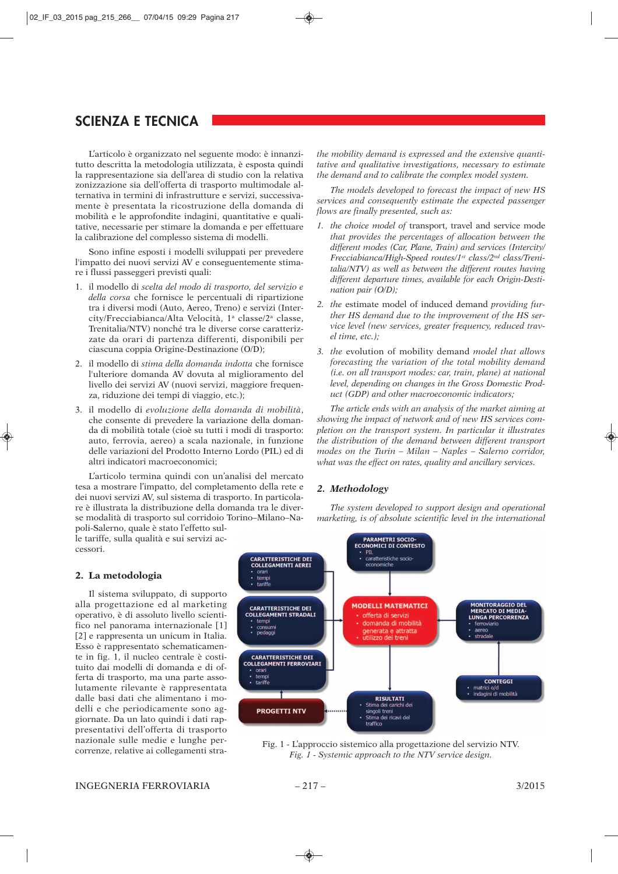L'articolo è organizzato nel seguente modo: è innanzitutto descritta la metodologia utilizzata, è esposta quindi la rappresentazione sia dell'area di studio con la relativa zonizzazione sia dell'offerta di trasporto multimodale alternativa in termini di infrastrutture e servizi, successivamente è presentata la ricostruzione della domanda di mobilità e le approfondite indagini, quantitative e qualitative, necessarie per stimare la domanda e per effettuare la calibrazione del complesso sistema di modelli.

Sono infine esposti i modelli sviluppati per prevedere l'impatto dei nuovi servizi AV e conseguentemente stimare i flussi passeggeri previsti quali:

- 1. il modello di *scelta del modo di trasporto, del servizio e della corsa* che fornisce le percentuali di ripartizione tra i diversi modi (Auto, Aereo, Treno) e servizi (Intercity/Frecciabianca/Alta Velocità, 1<sup>a</sup> classe/2<sup>a</sup> classe, Trenitalia/NTV) nonché tra le diverse corse caratterizzate da orari di partenza differenti, disponibili per ciascuna coppia Origine-Destinazione (O/D);
- 2. il modello di *stima della domanda indotta* che fornisce l'ulteriore domanda AV dovuta al miglioramento del livello dei servizi AV (nuovi servizi, maggiore frequenza, riduzione dei tempi di viaggio, etc.);
- 3. il modello di *evoluzione della domanda di mobilità*, che consente di prevedere la variazione della domanda di mobilità totale (cioè su tutti i modi di trasporto: auto, ferrovia, aereo) a scala nazionale, in funzione delle variazioni del Prodotto Interno Lordo (PIL) ed di altri indicatori macroeconomici;

L'articolo termina quindi con un'analisi del mercato tesa a mostrare l'impatto, del completamento della rete e dei nuovi servizi AV, sul sistema di trasporto. In particolare è illustrata la distribuzione della domanda tra le diverse modalità di trasporto sul corridoio Torino–Milano–Napoli-Salerno, quale è stato l'effetto sul-

le tariffe, sulla qualità e sui servizi accessori.

#### **2. La metodologia**

Il sistema sviluppato, di supporto alla progettazione ed al marketing operativo, è di assoluto livello scientifico nel panorama internazionale [1] [2] e rappresenta un unicum in Italia. Esso è rappresentato schematicamente in fig. 1, il nucleo centrale è costituito dai modelli di domanda e di offerta di trasporto, ma una parte assolutamente rilevante è rappresentata dalle basi dati che alimentano i modelli e che periodicamente sono aggiornate. Da un lato quindi i dati rappresentativi dell'offerta di trasporto nazionale sulle medie e lunghe percorrenze, relative ai collegamenti stra-

PARAMETRI SOCIO-<br>ECONOMICI DI CONTESTO **PTI** CARATTERISTICHE DEI<br>COLLEGAMENTI AEREI caratteristiche socio-<br>economiche orari<br>
tempi<br>
tariffe **MODELLI MATEMATICI MONITORAGGIO DEL<br>MERCATO DI MEDIA-CARATTERISTICHE DEI COLLEGAMENTI STRADALI** offerta di servizi LUNGA PERCORRENZA tempi domanda di mobilità ferroviario consumi<br>pedaggi generata e attratta CARATTERISTICHE DEI<br>COLLEGAMENTI FERROVIARI orari<br>tempi<br>tariffe **CONTEGGI** matrici o/d<br>indagini di mobilità **RISULTATI** Stima dei carichi dei<br>singoli treni **PROGETTI NTV** Stima dei ricavi del

Fig. 1 - L'approccio sistemico alla progettazione del servizio NTV. *Fig. 1 - Systemic approach to the NTV service design.*

*The models developed to forecast the impact of new HS services and consequently estimate the expected passenger flows are finally presented, such as:*

- *1. the choice model of* transport, travel and service mode *that provides the percentages of allocation between the different modes (Car, Plane, Train) and services (Intercity/ Frecciabianca/High-Speed routes/1st class/2nd class/Trenitalia/NTV) as well as between the different routes having different departure times, available for each Origin-Destination pair (O/D);*
- *2. the* estimate model of induced demand *providing further HS demand due to the improvement of the HS service level (new services, greater frequency, reduced travel time, etc.);*
- *3. the* evolution of mobility demand *model that allows forecasting the variation of the total mobility demand (i.e. on all transport modes: car, train, plane) at national level, depending on changes in the Gross Domestic Product (GDP) and other macroeconomic indicators;*

*The article ends with an analysis of the market aiming at showing the impact of network and of new HS services completion on the transport system. In particular it illustrates the distribution of the demand between different transport modes on the Turin – Milan – Naples – Salerno corridor, what was the effect on rates, quality and ancillary services.*

#### *2. Methodology*

*The system developed to support design and operational marketing, is of absolute scientific level in the international*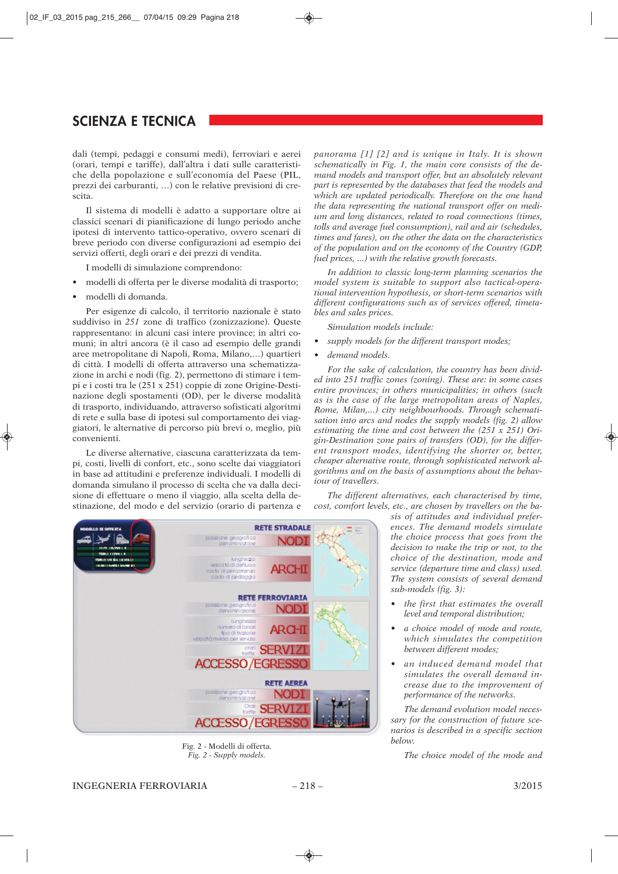dali (tempi, pedaggi e consumi medi), ferroviari e aerei (orari, tempi e tariffe), dall'altra i dati sulle caratteristiche della popolazione e sull'economia del Paese (PIL, prezzi dei carburanti, …) con le relative previsioni di crescita.

Il sistema di modelli è adatto a supportare oltre ai classici scenari di pianificazione di lungo periodo anche ipotesi di intervento tattico-operativo, ovvero scenari di breve periodo con diverse configurazioni ad esempio dei servizi offerti, degli orari e dei prezzi di vendita.

I modelli di simulazione comprendono:

- modelli di offerta per le diverse modalità di trasporto;
- modelli di domanda.

Per esigenze di calcolo, il territorio nazionale è stato suddiviso in *251* zone di traffico (zonizzazione). Queste rappresentano: in alcuni casi intere province; in altri comuni; in altri ancora (è il caso ad esempio delle grandi aree metropolitane di Napoli, Roma, Milano,…) quartieri di città. I modelli di offerta attraverso una schematizzazione in archi e nodi (fig. 2), permettono di stimare i tempi e i costi tra le (251 x 251) coppie di zone Origine-Destinazione degli spostamenti (OD), per le diverse modalità di trasporto, individuando, attraverso sofisticati algoritmi di rete e sulla base di ipotesi sul comportamento dei viaggiatori, le alternative di percorso più brevi o, meglio, più convenienti.

Le diverse alternative, ciascuna caratterizzata da tempi, costi, livelli di confort, etc., sono scelte dai viaggiatori in base ad attitudini e preferenze individuali. I modelli di domanda simulano il processo di scelta che va dalla decisione di effettuare o meno il viaggio, alla scelta della destinazione, del modo e del servizio (orario di partenza e *panorama [1] [2] and is unique in Italy. It is shown schematically in Fig. 1, the main core consists of the demand models and transport offer, but an absolutely relevant part is represented by the databases that feed the models and which are updated periodically. Therefore on the one hand the data representing the national transport offer on medium and long distances, related to road connections (times, tolls and average fuel consumption), rail and air (schedules, times and fares), on the other the data on the characteristics of the population and on the economy of the Country (GDP, fuel prices, ...) with the relative growth forecasts.*

*In addition to classic long-term planning scenarios the model system is suitable to support also tactical-operational intervention hypothesis, or short-term scenarios with different configurations such as of services offered, timetables and sales prices.*

*Simulation models include:*

- *supply models for the different transport modes;*
- *demand models.*

*For the sake of calculation, the country has been divided into 251 traffic zones (zoning). These are: in some cases entire provinces; in others municipalities; in others (such as is the case of the large metropolitan areas of Naples, Rome, Milan,...) city neighbourhoods. Through schematisation into arcs and nodes the supply models (fig. 2) allow estimating the time and cost between the (251 x 251) Origin-Destination zone pairs of transfers (OD), for the different transport modes, identifying the shorter or, better, cheaper alternative route, through sophisticated network algorithms and on the basis of assumptions about the behaviour of travellers.*

*The different alternatives, each characterised by time, cost, comfort levels, etc., are chosen by travellers on the ba-*



Fig. 2 - Modelli di offerta. *Fig. 2 - Supply models.*

*sis of attitudes and individual preferences. The demand models simulate the choice process that goes from the decision to make the trip or not, to the choice of the destination, mode and service (departure time and class) used. The system consists of several demand sub-models (fig. 3):*

- *the first that estimates the overall level and temporal distribution;*
- *a choice model of mode and route, which simulates the competition between different modes;*
- *an induced demand model that simulates the overall demand increase due to the improvement of performance of the networks.*

*The demand evolution model necessary for the construction of future scenarios is described in a specific section below.*

*The choice model of the mode and*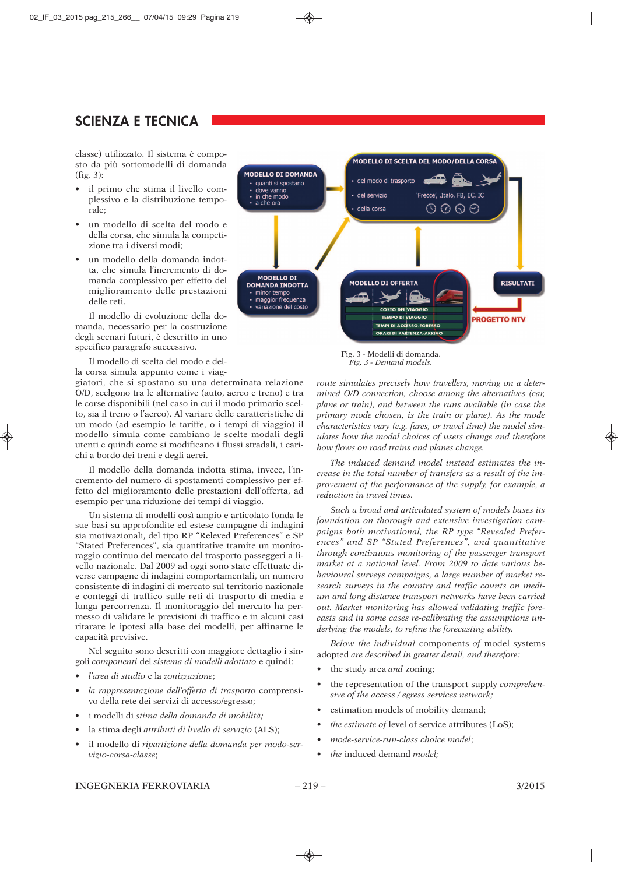classe) utilizzato. Il sistema è composto da più sottomodelli di domanda (fig. 3):

- il primo che stima il livello complessivo e la distribuzione temporale;
- un modello di scelta del modo e della corsa, che simula la competizione tra i diversi modi;
- un modello della domanda indotta, che simula l'incremento di domanda complessivo per effetto del miglioramento delle prestazioni delle reti.

Il modello di evoluzione della domanda, necessario per la costruzione degli scenari futuri, è descritto in uno specifico paragrafo successivo.

Il modello di scelta del modo e della corsa simula appunto come i viag-

giatori, che si spostano su una determinata relazione O/D, scelgono tra le alternative (auto, aereo e treno) e tra le corse disponibili (nel caso in cui il modo primario scelto, sia il treno o l'aereo). Al variare delle caratteristiche di un modo (ad esempio le tariffe, o i tempi di viaggio) il modello simula come cambiano le scelte modali degli utenti e quindi come si modificano i flussi stradali, i carichi a bordo dei treni e degli aerei.

Il modello della domanda indotta stima, invece, l'incremento del numero di spostamenti complessivo per effetto del miglioramento delle prestazioni dell'offerta, ad esempio per una riduzione dei tempi di viaggio.

Un sistema di modelli così ampio e articolato fonda le sue basi su approfondite ed estese campagne di indagini sia motivazionali, del tipo RP "Releved Preferences" e SP "Stated Preferences", sia quantitative tramite un monitoraggio continuo del mercato del trasporto passeggeri a livello nazionale. Dal 2009 ad oggi sono state effettuate diverse campagne di indagini comportamentali, un numero consistente di indagini di mercato sul territorio nazionale e conteggi di traffico sulle reti di trasporto di media e lunga percorrenza. Il monitoraggio del mercato ha permesso di validare le previsioni di traffico e in alcuni casi ritarare le ipotesi alla base dei modelli, per affinarne le capacità previsive.

Nel seguito sono descritti con maggiore dettaglio i singoli *componenti* del *sistema di modelli adottato* e quindi:

- *l'area di studio* e la *zonizzazione*;
- *la rappresentazione dell'offerta di trasporto* comprensivo della rete dei servizi di accesso/egresso;
- i modelli di *stima della domanda di mobilità;*
- la stima degli *attributi di livello di servizio* (ALS);
- il modello di *ripartizione della domanda per modo-servizio-corsa-classe*;



Fig. 3 - Modelli di domanda. *Fig. 3 - Demand models.*

*route simulates precisely how travellers, moving on a determined O/D connection, choose among the alternatives (car, plane or train), and between the runs available (in case the primary mode chosen, is the train or plane). As the mode characteristics vary (e.g. fares, or travel time) the model simulates how the modal choices of users change and therefore how flows on road trains and planes change.*

*The induced demand model instead estimates the increase in the total number of transfers as a result of the improvement of the performance of the supply, for example, a reduction in travel times.*

*Such a broad and articulated system of models bases its foundation on thorough and extensive investigation campaigns both motivational, the RP type "Revealed Preferences" and SP "Stated Preferences", and quantitative through continuous monitoring of the passenger transport market at a national level. From 2009 to date various behavioural surveys campaigns, a large number of market research surveys in the country and traffic counts on medium and long distance transport networks have been carried out. Market monitoring has allowed validating traffic forecasts and in some cases re-calibrating the assumptions underlying the models, to refine the forecasting ability.*

*Below the individual* components *of* model systems adopted *are described in greater detail, and therefore:*

- *•* the study area *and* zoning;
- *•* the representation of the transport supply *comprehensive of the access / egress services network;*
- *•* estimation models of mobility demand;
- *the estimate of level of service attributes (LoS):*
- *mode-service-run-class choice model*;
- *the* induced demand *model;*